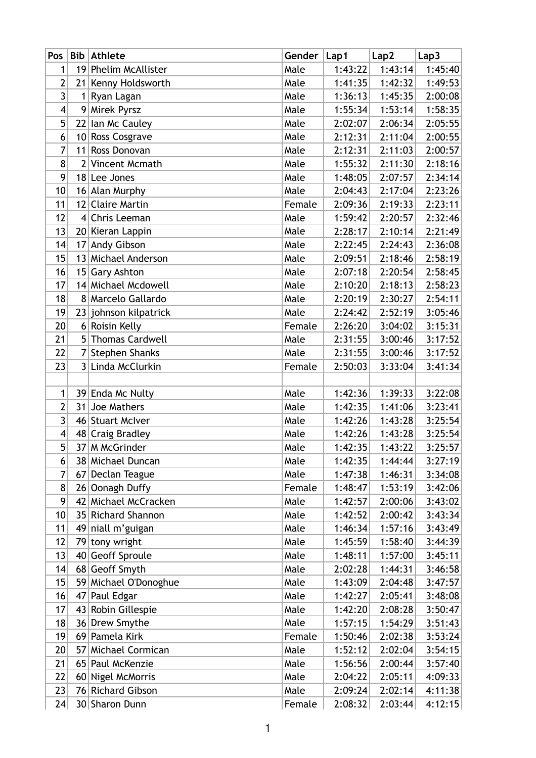| Pos                      |    | <b>Bib Athlete</b>    | Gender | Lap1    | Lap2    | Lap3    |
|--------------------------|----|-----------------------|--------|---------|---------|---------|
| 1                        |    | 19 Phelim McAllister  | Male   | 1:43:22 | 1:43:14 | 1:45:40 |
| $\overline{2}$           |    | 21 Kenny Holdsworth   | Male   | 1:41:35 | 1:42:32 | 1:49:53 |
| 3                        |    | 1 Ryan Lagan          | Male   | 1:36:13 | 1:45:35 | 2:00:08 |
| $\overline{\mathcal{A}}$ |    | 9 Mirek Pyrsz         | Male   | 1:55:34 | 1:53:14 | 1:58:35 |
| 5                        |    | 22 Ian Mc Cauley      | Male   | 2:02:07 | 2:06:34 | 2:05:55 |
| 6                        |    | 10 Ross Cosgrave      | Male   | 2:12:31 | 2:11:04 | 2:00:55 |
| $\overline{7}$           |    | 11 Ross Donovan       | Male   | 2:12:31 | 2:11:03 | 2:00:57 |
| 8                        |    | 2 Vincent Mcmath      | Male   | 1:55:32 | 2:11:30 | 2:18:16 |
| 9                        |    | 18 Lee Jones          | Male   | 1:48:05 | 2:07:57 | 2:34:14 |
| 10                       |    | 16 Alan Murphy        | Male   | 2:04:43 | 2:17:04 | 2:23:26 |
| 11                       |    | 12 Claire Martin      | Female | 2:09:36 | 2:19:33 | 2:23:11 |
| 12                       |    | 4 Chris Leeman        | Male   | 1:59:42 | 2:20:57 | 2:32:46 |
| 13                       |    | 20 Kieran Lappin      | Male   | 2:28:17 | 2:10:14 | 2:21:49 |
| 14                       |    | 17 Andy Gibson        | Male   | 2:22:45 | 2:24:43 | 2:36:08 |
| 15                       |    | 13 Michael Anderson   | Male   | 2:09:51 | 2:18:46 | 2:58:19 |
| 16                       |    | 15 Gary Ashton        | Male   | 2:07:18 | 2:20:54 | 2:58:45 |
| 17                       |    | 14 Michael Mcdowell   | Male   | 2:10:20 | 2:18:13 | 2:58:23 |
| 18                       |    | 8 Marcelo Gallardo    | Male   | 2:20:19 | 2:30:27 | 2:54:11 |
| 19                       |    | 23 johnson kilpatrick | Male   | 2:24:42 | 2:52:19 | 3:05:46 |
| 20                       |    | 6 Roisin Kelly        | Female | 2:26:20 | 3:04:02 | 3:15:31 |
| 21                       |    | 5 Thomas Cardwell     | Male   | 2:31:55 | 3:00:46 | 3:17:52 |
| 22                       |    | 7 Stephen Shanks      | Male   | 2:31:55 | 3:00:46 | 3:17:52 |
| 23                       |    | 3 Linda McClurkin     | Female | 2:50:03 | 3:33:04 | 3:41:34 |
|                          |    |                       |        |         |         |         |
| 1                        |    | 39 Enda Mc Nulty      | Male   | 1:42:36 | 1:39:33 | 3:22:08 |
| $\overline{2}$           |    | 31 Joe Mathers        | Male   | 1:42:35 | 1:41:06 | 3:23:41 |
| 3                        |    | 46 Stuart McIver      | Male   | 1:42:26 | 1:43:28 | 3:25:54 |
| 4                        |    | 48 Craig Bradley      | Male   | 1:42:26 | 1:43:28 | 3:25:54 |
| 5                        |    | 37 M McGrinder        | Male   | 1:42:35 | 1:43:22 | 3:25:57 |
| 6                        |    | 38 Michael Duncan     | Male   | 1:42:35 | 1:44:44 | 3:27:19 |
| 7                        |    | 67 Declan Teague      | Male   | 1:47:38 | 1:46:31 | 3:34:08 |
| 8                        |    | 26 Oonagh Duffy       | Female | 1:48:47 | 1:53:19 | 3:42:06 |
| 9                        |    | 42 Michael McCracken  | Male   | 1:42:57 | 2:00:06 | 3:43:02 |
| 10                       |    | 35 Richard Shannon    | Male   | 1:42:52 | 2:00:42 | 3:43:34 |
| 11                       |    | 49 niall m'guigan     | Male   | 1:46:34 | 1:57:16 | 3:43:49 |
| 12                       |    | 79 tony wright        | Male   | 1:45:59 | 1:58:40 | 3:44:39 |
| 13                       |    | 40 Geoff Sproule      | Male   | 1:48:11 | 1:57:00 | 3:45:11 |
| 14                       |    | 68 Geoff Smyth        | Male   | 2:02:28 | 1:44:31 | 3:46:58 |
| 15                       |    | 59 Michael O'Donoghue | Male   | 1:43:09 | 2:04:48 | 3:47:57 |
| 16                       | 47 | Paul Edgar            | Male   | 1:42:27 | 2:05:41 | 3:48:08 |
| 17                       |    | 43 Robin Gillespie    | Male   | 1:42:20 | 2:08:28 | 3:50:47 |
| 18                       |    | 36 Drew Smythe        | Male   | 1:57:15 | 1:54:29 | 3:51:43 |
| 19                       |    | 69 Pamela Kirk        | Female | 1:50:46 | 2:02:38 | 3:53:24 |
| 20                       |    | 57 Michael Cormican   | Male   | 1:52:12 | 2:02:04 | 3:54:15 |
| 21                       |    | 65 Paul McKenzie      | Male   | 1:56:56 | 2:00:44 | 3:57:40 |
| 22                       |    | 60 Nigel McMorris     | Male   | 2:04:22 | 2:05:11 | 4:09:33 |
| 23                       |    | 76 Richard Gibson     | Male   | 2:09:24 | 2:02:14 | 4:11:38 |
| 24                       |    | 30 Sharon Dunn        | Female | 2:08:32 | 2:03:44 | 4:12:15 |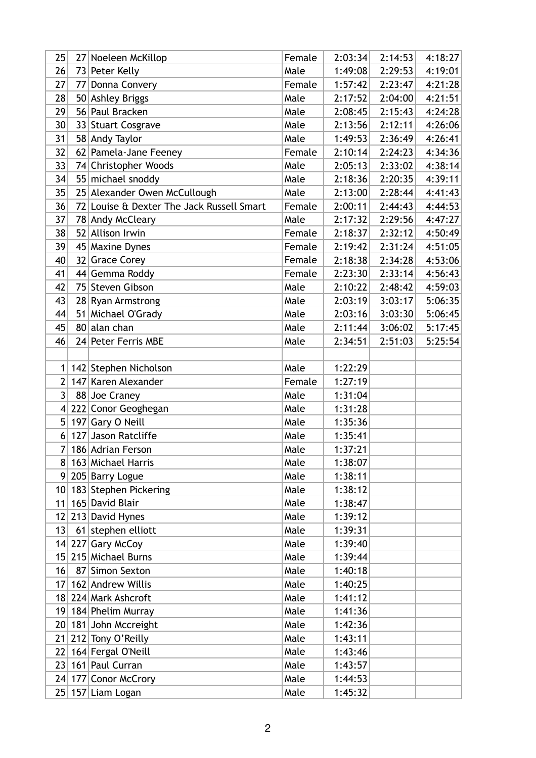| 25                      | 27 Noeleen McKillop                       | Female | 2:03:34 | 2:14:53 | 4:18:27 |
|-------------------------|-------------------------------------------|--------|---------|---------|---------|
| 26                      | 73 Peter Kelly                            | Male   | 1:49:08 | 2:29:53 | 4:19:01 |
| 27                      | 77 Donna Convery                          | Female | 1:57:42 | 2:23:47 | 4:21:28 |
| 28                      | 50 Ashley Briggs                          | Male   | 2:17:52 | 2:04:00 | 4:21:51 |
| 29                      | 56 Paul Bracken                           | Male   | 2:08:45 | 2:15:43 | 4:24:28 |
| 30                      | 33 Stuart Cosgrave                        | Male   | 2:13:56 | 2:12:11 | 4:26:06 |
| 31                      | 58 Andy Taylor                            | Male   | 1:49:53 | 2:36:49 | 4:26:41 |
| 32                      | 62 Pamela-Jane Feeney                     | Female | 2:10:14 | 2:24:23 | 4:34:36 |
| 33                      | 74 Christopher Woods                      | Male   | 2:05:13 | 2:33:02 | 4:38:14 |
| 34                      | 55 michael snoddy                         | Male   | 2:18:36 | 2:20:35 | 4:39:11 |
| 35                      | 25 Alexander Owen McCullough              | Male   | 2:13:00 | 2:28:44 | 4:41:43 |
| 36                      | 72 Louise & Dexter The Jack Russell Smart | Female | 2:00:11 | 2:44:43 | 4:44:53 |
| 37                      | 78 Andy McCleary                          | Male   | 2:17:32 | 2:29:56 | 4:47:27 |
| 38                      | 52 Allison Irwin                          | Female | 2:18:37 | 2:32:12 | 4:50:49 |
| 39                      | 45 Maxine Dynes                           | Female | 2:19:42 | 2:31:24 | 4:51:05 |
| 40                      | 32 Grace Corey                            | Female | 2:18:38 | 2:34:28 | 4:53:06 |
| 41                      | 44 Gemma Roddy                            | Female | 2:23:30 | 2:33:14 | 4:56:43 |
| 42                      | 75 Steven Gibson                          | Male   | 2:10:22 | 2:48:42 | 4:59:03 |
| 43                      | 28 Ryan Armstrong                         | Male   | 2:03:19 | 3:03:17 | 5:06:35 |
| 44                      | 51 Michael O'Grady                        | Male   | 2:03:16 | 3:03:30 | 5:06:45 |
| 45                      | 80 alan chan                              | Male   | 2:11:44 | 3:06:02 | 5:17:45 |
| 46                      | 24 Peter Ferris MBE                       | Male   | 2:34:51 | 2:51:03 | 5:25:54 |
|                         |                                           |        |         |         |         |
| 1                       | 142 Stephen Nicholson                     | Male   | 1:22:29 |         |         |
| 2                       | 147 Karen Alexander                       | Female | 1:27:19 |         |         |
| $\overline{3}$          | 88 Joe Craney                             | Male   | 1:31:04 |         |         |
| $\overline{\mathbf{4}}$ | 222 Conor Geoghegan                       | Male   | 1:31:28 |         |         |
| 5                       | 197 Gary O Neill                          | Male   | 1:35:36 |         |         |
| 6                       | 127 Jason Ratcliffe                       | Male   | 1:35:41 |         |         |
| 7                       | 186 Adrian Ferson                         | Male   | 1:37:21 |         |         |
| 8                       | 163 Michael Harris                        | Male   | 1:38:07 |         |         |
| 9                       | 205 Barry Logue                           | Male   | 1:38:11 |         |         |
|                         | 10 183 Stephen Pickering                  | Male   | 1:38:12 |         |         |
| 11                      | 165 David Blair                           | Male   | 1:38:47 |         |         |
|                         | $12$   213 David Hynes                    | Male   | 1:39:12 |         |         |
| 13                      | $61$ stephen elliott                      | Male   | 1:39:31 |         |         |
|                         | 14 227 Gary McCoy                         | Male   | 1:39:40 |         |         |
| 15                      | 215 Michael Burns                         | Male   | 1:39:44 |         |         |
| 16                      | 87 Simon Sexton                           | Male   | 1:40:18 |         |         |
| 17 <sup>2</sup>         | 162 Andrew Willis                         | Male   | 1:40:25 |         |         |
|                         | 18 224 Mark Ashcroft                      | Male   | 1:41:12 |         |         |
|                         | 19 184 Phelim Murray                      | Male   | 1:41:36 |         |         |
|                         | 20 181 John Mccreight                     | Male   | 1:42:36 |         |         |
|                         | $21$ 212 Tony O'Reilly                    | Male   | 1:43:11 |         |         |
| 22                      | 164 Fergal O'Neill                        | Male   | 1:43:46 |         |         |
|                         | 23 161 Paul Curran                        | Male   | 1:43:57 |         |         |
|                         | 24 177 Conor McCrory                      | Male   | 1:44:53 |         |         |
|                         | 25 157 Liam Logan                         | Male   | 1:45:32 |         |         |
|                         |                                           |        |         |         |         |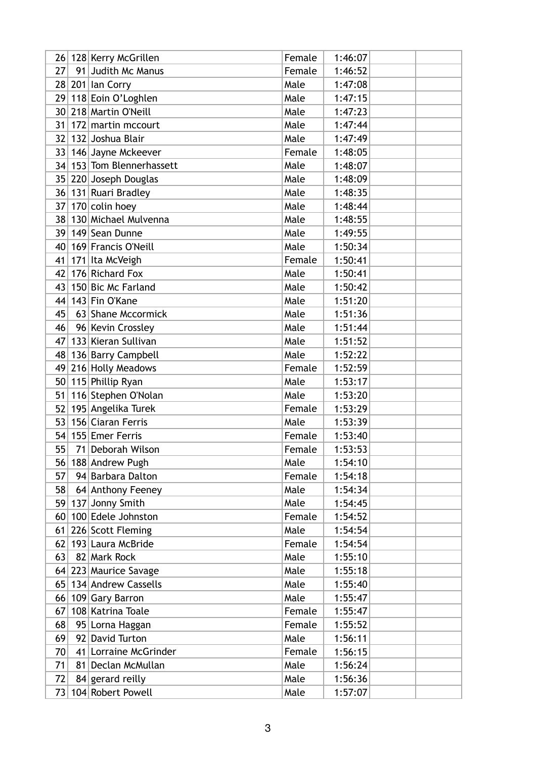|                 | 26   128   Kerry McGrillen | Female | 1:46:07 |
|-----------------|----------------------------|--------|---------|
| 27              | 91 Judith Mc Manus         | Female | 1:46:52 |
|                 | 28 201 Ian Corry           | Male   | 1:47:08 |
|                 | 29 118 Eoin O'Loghlen      | Male   | 1:47:15 |
|                 | 30 218 Martin O'Neill      | Male   | 1:47:23 |
|                 | 31 172 martin mccourt      | Male   | 1:47:44 |
| 32              | 132 Joshua Blair           | Male   | 1:47:49 |
|                 | 33 146 Jayne Mckeever      | Female | 1:48:05 |
|                 | 34 153 Tom Blennerhassett  | Male   | 1:48:07 |
|                 | 35 220 Joseph Douglas      | Male   | 1:48:09 |
|                 | 36 131 Ruari Bradley       | Male   | 1:48:35 |
| 37 <sup>2</sup> | 170 colin hoey             | Male   | 1:48:44 |
|                 | 38 130 Michael Mulvenna    | Male   | 1:48:55 |
|                 | 39 149 Sean Dunne          | Male   | 1:49:55 |
| 40              | 169 Francis O'Neill        | Male   | 1:50:34 |
| 41              | 171 Ita McVeigh            | Female | 1:50:41 |
| 42              | 176 Richard Fox            | Male   | 1:50:41 |
| 43              | 150 Bic Mc Farland         | Male   | 1:50:42 |
| 44              | 143 Fin O'Kane             | Male   | 1:51:20 |
| 45              | 63 Shane Mccormick         | Male   | 1:51:36 |
| 46              | 96 Kevin Crossley          | Male   | 1:51:44 |
| 47              | 133 Kieran Sullivan        | Male   | 1:51:52 |
|                 | 48 136 Barry Campbell      | Male   | 1:52:22 |
|                 | 49 216 Holly Meadows       | Female | 1:52:59 |
|                 | 50 115 Phillip Ryan        | Male   | 1:53:17 |
|                 | 51 116 Stephen O'Nolan     | Male   | 1:53:20 |
| 52              | 195 Angelika Turek         | Female | 1:53:29 |
| 53              | 156 Ciaran Ferris          | Male   | 1:53:39 |
|                 | 54 155 Emer Ferris         | Female | 1:53:40 |
| 55              | 71 Deborah Wilson          | Female | 1:53:53 |
|                 | 56 188 Andrew Pugh         | Male   | 1:54:10 |
| 57              | 94 Barbara Dalton          | Female | 1:54:18 |
| 58              | 64 Anthony Feeney          | Male   | 1:54:34 |
| 59              | 137 Jonny Smith            | Male   | 1:54:45 |
|                 | 60 100 Edele Johnston      | Female | 1:54:52 |
|                 | 61 226 Scott Fleming       | Male   | 1:54:54 |
|                 | 62   193 Laura McBride     | Female | 1:54:54 |
| 63              | 82 Mark Rock               | Male   | 1:55:10 |
|                 | 64 223 Maurice Savage      | Male   | 1:55:18 |
|                 | 65 134 Andrew Cassells     | Male   | 1:55:40 |
| 66              | 109 Gary Barron            | Male   | 1:55:47 |
| 67              | 108 Katrina Toale          | Female | 1:55:47 |
| 68              | 95 Lorna Haggan            | Female | 1:55:52 |
| 69              | 92 David Turton            | Male   | 1:56:11 |
| 70              | 41 Lorraine McGrinder      | Female | 1:56:15 |
| 71              | 81 Declan McMullan         | Male   | 1:56:24 |
| 72              | $84$ gerard reilly         | Male   | 1:56:36 |
| 73              | 104 Robert Powell          | Male   | 1:57:07 |
|                 |                            |        |         |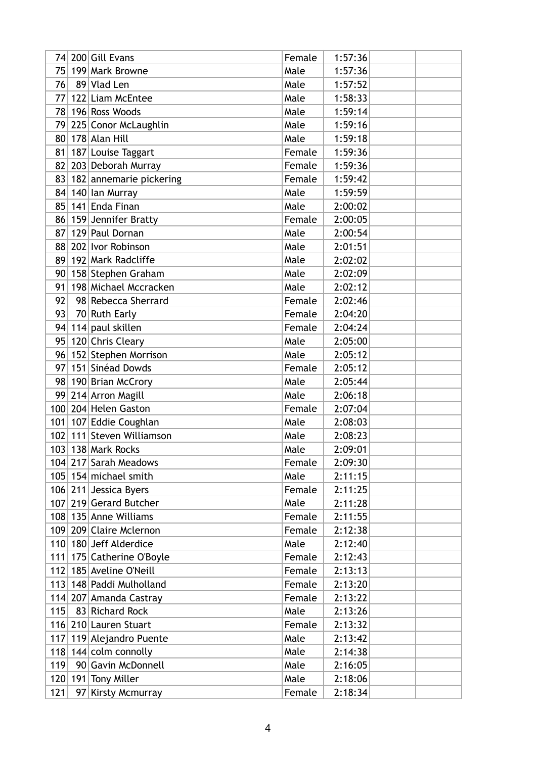|     | 74 200 Gill Evans              | Female | 1:57:36 |  |
|-----|--------------------------------|--------|---------|--|
|     | 75 199 Mark Browne             | Male   | 1:57:36 |  |
| 76  | 89 Vlad Len                    | Male   | 1:57:52 |  |
| 77  | 122 Liam McEntee               | Male   | 1:58:33 |  |
|     | 78 196 Ross Woods              | Male   | 1:59:14 |  |
|     | 79 225 Conor McLaughlin        | Male   | 1:59:16 |  |
|     | 80   178   Alan Hill           | Male   | 1:59:18 |  |
| 81  | 187 Louise Taggart             | Female | 1:59:36 |  |
|     | 82 203 Deborah Murray          | Female | 1:59:36 |  |
|     | 83   182   annemarie pickering | Female | 1:59:42 |  |
|     | 84 140 Ian Murray              | Male   | 1:59:59 |  |
|     | 85 141 Enda Finan              | Male   | 2:00:02 |  |
|     | 86 159 Jennifer Bratty         | Female | 2:00:05 |  |
|     | 87 129 Paul Dornan             | Male   | 2:00:54 |  |
|     | 88 202 Ivor Robinson           | Male   | 2:01:51 |  |
|     | 89 192 Mark Radcliffe          | Male   | 2:02:02 |  |
|     | 90 158 Stephen Graham          | Male   | 2:02:09 |  |
| 91  | 198 Michael Mccracken          | Male   | 2:02:12 |  |
| 92  | 98 Rebecca Sherrard            | Female | 2:02:46 |  |
| 93  | 70 Ruth Early                  | Female | 2:04:20 |  |
|     | 94 114 paul skillen            | Female | 2:04:24 |  |
|     | 95 120 Chris Cleary            | Male   | 2:05:00 |  |
|     | 96 152 Stephen Morrison        | Male   | 2:05:12 |  |
|     | 97 151 Sinéad Dowds            | Female | 2:05:12 |  |
|     | 98 190 Brian McCrory           | Male   | 2:05:44 |  |
|     | 99 214 Arron Magill            | Male   | 2:06:18 |  |
|     | 100 204 Helen Gaston           | Female | 2:07:04 |  |
| 101 | 107 Eddie Coughlan             | Male   | 2:08:03 |  |
|     | 102 111 Steven Williamson      | Male   | 2:08:23 |  |
|     | 103 138 Mark Rocks             | Male   | 2:09:01 |  |
|     | 104 217 Sarah Meadows          | Female | 2:09:30 |  |
|     | 105 154 michael smith          | Male   | 2:11:15 |  |
|     | 106 211 Jessica Byers          | Female | 2:11:25 |  |
|     | 107 219 Gerard Butcher         | Male   | 2:11:28 |  |
|     | 108 135 Anne Williams          | Female | 2:11:55 |  |
|     | 109 209 Claire Mclernon        | Female | 2:12:38 |  |
|     | 110 180 Jeff Alderdice         | Male   | 2:12:40 |  |
|     | 111 175 Catherine O'Boyle      | Female | 2:12:43 |  |
|     | 112 185 Aveline O'Neill        | Female | 2:13:13 |  |
|     | 113 148 Paddi Mulholland       | Female | 2:13:20 |  |
|     | 114 207 Amanda Castray         | Female | 2:13:22 |  |
| 115 | 83 Richard Rock                | Male   | 2:13:26 |  |
|     | 116 210 Lauren Stuart          | Female | 2:13:32 |  |
| 117 | 119 Alejandro Puente           | Male   | 2:13:42 |  |
| 118 | $144$ colm connolly            | Male   | 2:14:38 |  |
| 119 | 90 Gavin McDonnell             | Male   | 2:16:05 |  |
|     | $120$   191   Tony Miller      | Male   | 2:18:06 |  |
| 121 | 97 Kirsty Mcmurray             | Female | 2:18:34 |  |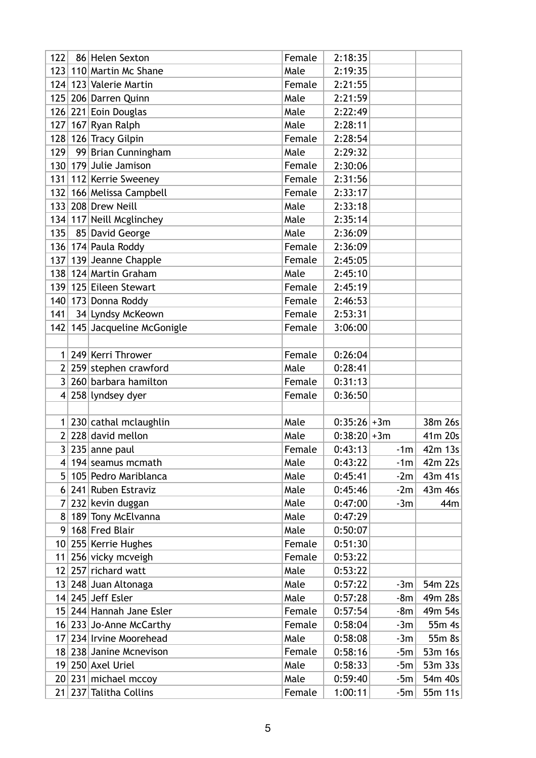| 122             |        | 86 Helen Sexton              | Female | 2:18:35      |       |         |
|-----------------|--------|------------------------------|--------|--------------|-------|---------|
|                 |        | 123 110 Martin Mc Shane      | Male   | 2:19:35      |       |         |
|                 |        | 124 123 Valerie Martin       | Female | 2:21:55      |       |         |
| 125             |        | 206 Darren Quinn             | Male   | 2:21:59      |       |         |
|                 |        | 126 221 Eoin Douglas         | Male   | 2:22:49      |       |         |
| 127             |        | 167 Ryan Ralph               | Male   | 2:28:11      |       |         |
| 128             |        | 126 Tracy Gilpin             | Female | 2:28:54      |       |         |
| 129             |        | 99 Brian Cunningham          | Male   | 2:29:32      |       |         |
|                 |        | 130 179 Julie Jamison        | Female | 2:30:06      |       |         |
|                 |        | 131 112 Kerrie Sweeney       | Female | 2:31:56      |       |         |
| 132             |        | 166 Melissa Campbell         | Female | 2:33:17      |       |         |
|                 |        | 133 208 Drew Neill           | Male   | 2:33:18      |       |         |
|                 |        | 134 117 Neill Mcglinchey     | Male   | 2:35:14      |       |         |
| 135             |        | 85 David George              | Male   | 2:36:09      |       |         |
|                 |        | 136 174 Paula Roddy          | Female | 2:36:09      |       |         |
|                 |        | 137 139 Jeanne Chapple       | Female | 2:45:05      |       |         |
|                 |        | 138 124 Martin Graham        | Male   | 2:45:10      |       |         |
|                 |        | 139 125 Eileen Stewart       | Female | 2:45:19      |       |         |
| 140             |        | 173 Donna Roddy              | Female | 2:46:53      |       |         |
| 141             |        | 34 Lyndsy McKeown            | Female | 2:53:31      |       |         |
|                 |        | 142 145 Jacqueline McGonigle | Female | 3:06:00      |       |         |
|                 |        |                              |        |              |       |         |
| 1 <sup>1</sup>  |        | 249 Kerri Thrower            | Female | 0:26:04      |       |         |
| 2 <sup>1</sup>  |        | 259 stephen crawford         | Male   | 0:28:41      |       |         |
|                 |        | 3 260 barbara hamilton       | Female | 0:31:13      |       |         |
| $\vert 4 \vert$ |        | 258 lyndsey dyer             | Female | 0:36:50      |       |         |
|                 |        |                              |        |              |       |         |
|                 |        | $1 230 $ cathal mclaughlin   | Male   | $0:35:26+3m$ |       | 38m 26s |
| 2 <sup>1</sup>  |        | 228 david mellon             | Male   | $0:38:20+3m$ |       | 41m 20s |
|                 |        | $3 235 $ anne paul           | Female | 0:43:13      | $-1m$ | 42m 13s |
|                 |        | 4   194   seamus mcmath      | Male   | 0:43:22      | $-1m$ | 42m 22s |
| 5 <sup>1</sup>  |        | 105 Pedro Mariblanca         | Male   | 0:45:41      | $-2m$ | 43m 41s |
|                 |        | 6 241 Ruben Estraviz         | Male   | 0:45:46      | $-2m$ | 43m 46s |
| 7               |        | 232 kevin duggan             | Male   | 0:47:00      | $-3m$ | 44m     |
| 8 <sup>1</sup>  |        | 189 Tony McElvanna           | Male   | 0:47:29      |       |         |
| 9 <sup>1</sup>  |        | 168 Fred Blair               | Male   | 0:50:07      |       |         |
|                 |        | 10 255 Kerrie Hughes         | Female | 0:51:30      |       |         |
|                 |        | 11 256 vicky mcveigh         | Female | 0:53:22      |       |         |
|                 | 12 257 | richard watt                 | Male   | 0:53:22      |       |         |
|                 |        | 13 248 Juan Altonaga         | Male   | 0:57:22      | $-3m$ | 54m 22s |
|                 |        | $14$   245 Jeff Esler        | Male   | 0:57:28      | -8m   | 49m 28s |
|                 |        | 15 244 Hannah Jane Esler     | Female | 0:57:54      | $-8m$ | 49m 54s |
|                 |        | 16 233 Jo-Anne McCarthy      | Female | 0:58:04      | $-3m$ | 55m 4s  |
|                 |        | 17 234 Irvine Moorehead      | Male   | 0:58:08      | $-3m$ | 55m 8s  |
|                 |        | 18 238 Janine Mcnevison      | Female | 0:58:16      | $-5m$ | 53m 16s |
|                 |        | 19 250 Axel Uriel            | Male   | 0:58:33      | $-5m$ | 53m 33s |
|                 |        | 20 231 michael mccoy         | Male   | 0:59:40      | $-5m$ | 54m 40s |
|                 |        | 21 237 Talitha Collins       | Female | 1:00:11      | $-5m$ | 55m 11s |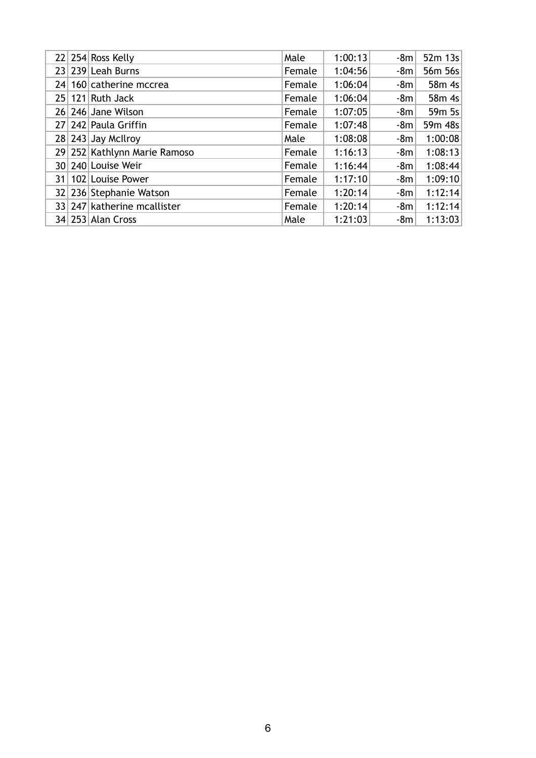|  | $22$ 254 Ross Kelly          | Male   | 1:00:13 | $-8m$ | 52m 13s   |
|--|------------------------------|--------|---------|-------|-----------|
|  | 23 239 Leah Burns            | Female | 1:04:56 | $-8m$ | 56m 56s   |
|  | 24 160 catherine mccrea      | Female | 1:06:04 | $-8m$ | 58 $m$ 4s |
|  | $25$ 121 Ruth Jack           | Female | 1:06:04 | $-8m$ | 58m 4s    |
|  | 26 246 Jane Wilson           | Female | 1:07:05 | $-8m$ | 59m 5s    |
|  | 27 242 Paula Griffin         | Female | 1:07:48 | $-8m$ | 59m 48s   |
|  | $28 243 $ Jay McIlroy        | Male   | 1:08:08 | $-8m$ | 1:00:08   |
|  | 29 252 Kathlynn Marie Ramoso | Female | 1:16:13 | $-8m$ | 1:08:13   |
|  | 30 240 Louise Weir           | Female | 1:16:44 | $-8m$ | 1:08:44   |
|  | 31   102   Louise Power      | Female | 1:17:10 | $-8m$ | 1:09:10   |
|  | 32 236 Stephanie Watson      | Female | 1:20:14 | $-8m$ | 1:12:14   |
|  | 33 247 katherine mcallister  | Female | 1:20:14 | $-8m$ | 1:12:14   |
|  | 34 253 Alan Cross            | Male   | 1:21:03 | $-8m$ | 1:13:03   |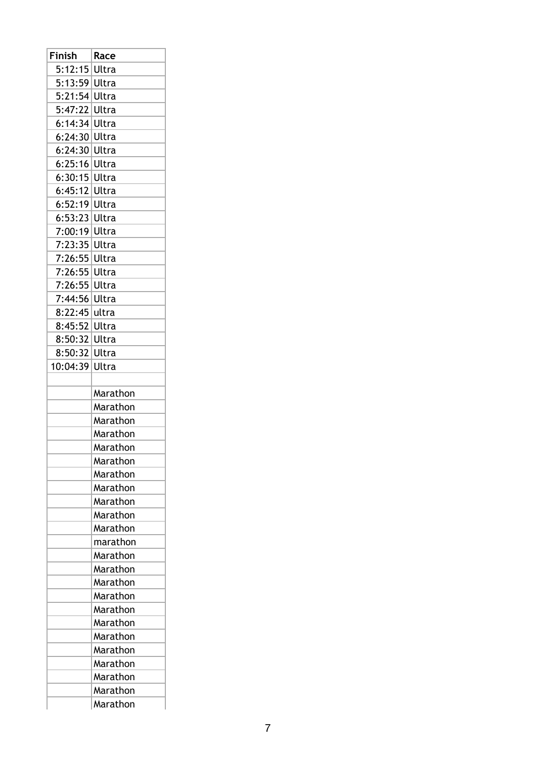| Finish   | Race     |
|----------|----------|
| 5:12:15  | Ultra    |
| 5:13:59  | Ultra    |
| 5:21:54  | Ultra    |
| 5:47:22  | Ultra    |
| 6:14:34  | Ultra    |
| 6:24:30  | Ultra    |
| 6:24:30  | Ultra    |
| 6:25:16  | Ultra    |
| 6:30:15  | Ultra    |
| 6:45:12  | Ultra    |
| 6:52:19  | Ultra    |
| 6:53:23  | Ultra    |
| 7:00:19  | Ultra    |
| 7:23:35  | Ultra    |
| 7:26:55  | Ultra    |
| 7:26:55  | Ultra    |
| 7:26:55  | Ultra    |
| 7:44:56  | Ultra    |
| 8:22:45  | ultra    |
| 8:45:52  | Ultra    |
| 8:50:32  | Ultra    |
| 8:50:32  | Ultra    |
| 10:04:39 | Ultra    |
|          |          |
|          | Marathon |
|          | Marathon |
|          |          |
|          |          |
|          | Marathon |
|          | Marathon |
|          | Marathon |
|          | Marathon |
|          | Marathon |
|          | Marathon |
|          | Marathon |
|          | Marathon |
|          | Marathon |
|          | marathon |
|          | Marathon |
|          | Marathon |
|          | Marathon |
|          | Marathon |
|          | Marathon |
|          | Marathon |
|          | Marathon |
|          | Marathon |
|          | Marathon |
|          | Marathon |
|          | Marathon |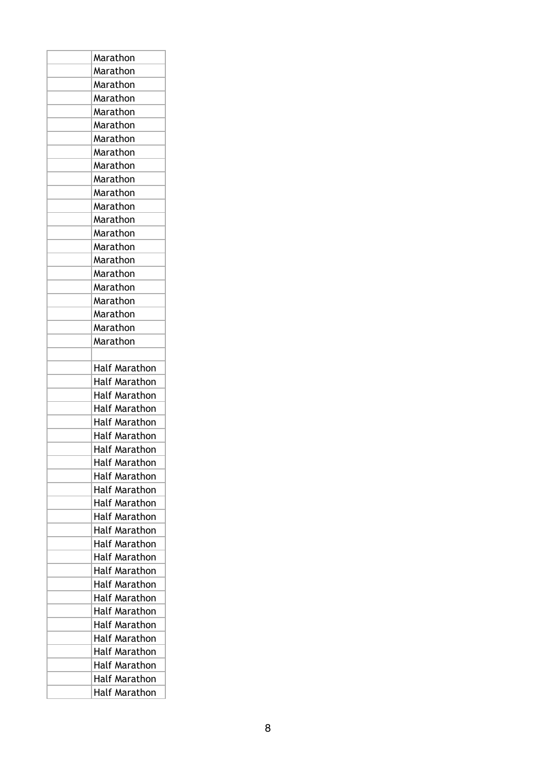| Marathon                              |
|---------------------------------------|
| Marathon                              |
| Marathon                              |
| Marathon                              |
| Marathon                              |
| Marathon                              |
| Marathon                              |
| Marathon                              |
| Marathon                              |
| Marathon                              |
| Marathon                              |
| Marathon                              |
| Marathon                              |
| Marathon                              |
| Marathon                              |
| Marathon                              |
| Marathon                              |
| Marathon                              |
| Marathon                              |
| Marathon                              |
| Marathon                              |
| Marathon                              |
|                                       |
| <b>Half Marathon</b>                  |
| <b>Half Marathon</b>                  |
| <b>Half Marathon</b>                  |
| Half Marathon                         |
| <b>Half Marathon</b>                  |
|                                       |
| Half Marathon<br><b>Half Marathon</b> |
|                                       |
|                                       |
| <b>Half Marathon</b>                  |
| <b>Half Marathon</b>                  |
| <b>Half Marathon</b>                  |
| Half Marathon                         |
| <b>Half Marathon</b>                  |
| <b>Half Marathon</b>                  |
| <b>Half Marathon</b>                  |
| <b>Half Marathon</b>                  |
| <b>Half Marathon</b>                  |
| Half Marathon                         |
| <b>Half Marathon</b>                  |
| <b>Half Marathon</b>                  |
| Half Marathon                         |
| Half Marathon                         |
| <b>Half Marathon</b>                  |
| Half Marathon                         |
| Half Marathon                         |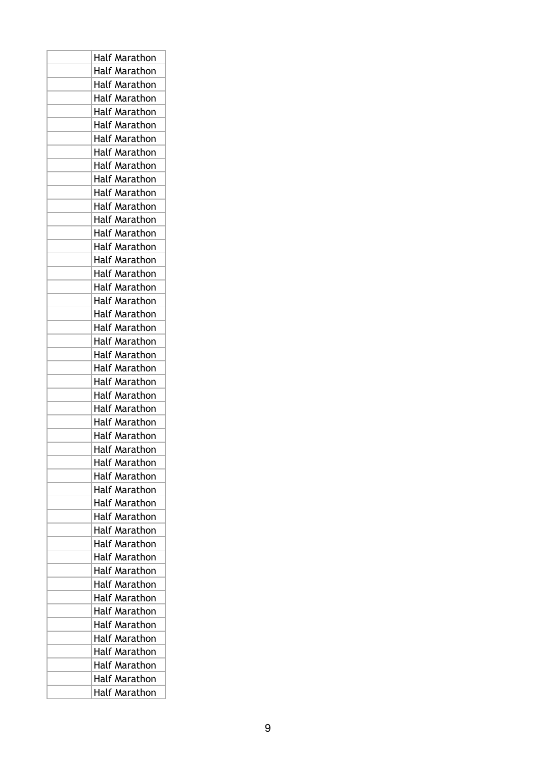| <b>Half Marathon</b> |
|----------------------|
| <b>Half Marathon</b> |
| <b>Half Marathon</b> |
| <b>Half Marathon</b> |
| <b>Half Marathon</b> |
| <b>Half Marathon</b> |
| <b>Half Marathon</b> |
| <b>Half Marathon</b> |
| <b>Half Marathon</b> |
| Half Marathon        |
| <b>Half Marathon</b> |
| <b>Half Marathon</b> |
| <b>Half Marathon</b> |
| <b>Half Marathon</b> |
| <b>Half Marathon</b> |
|                      |
| <b>Half Marathon</b> |
| <b>Half Marathon</b> |
| <b>Half Marathon</b> |
| <b>Half Marathon</b> |
| <b>Half Marathon</b> |
| <b>Half Marathon</b> |
| <b>Half Marathon</b> |
| <b>Half Marathon</b> |
| <b>Half Marathon</b> |
| <b>Half Marathon</b> |
| <b>Half Marathon</b> |
| <b>Half Marathon</b> |
| <b>Half Marathon</b> |
| <b>Half Marathon</b> |
| <b>Half Marathon</b> |
| <b>Half Marathon</b> |
| <b>Half Marathon</b> |
| <b>Half Marathon</b> |
| <b>Half Marathon</b> |
| <b>Half Marathon</b> |
| Half Marathon        |
| <b>Half Marathon</b> |
| <b>Half Marathon</b> |
|                      |
| <b>Half Marathon</b> |
| Half Marathon        |
| <b>Half Marathon</b> |
| <b>Half Marathon</b> |
| <b>Half Marathon</b> |
| Half Marathon        |
| <b>Half Marathon</b> |
| <b>Half Marathon</b> |
| <b>Half Marathon</b> |
| Half Marathon        |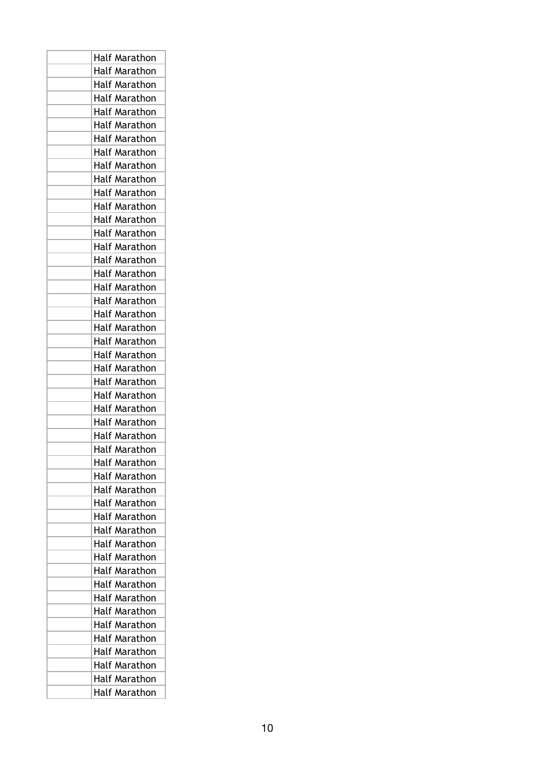| <b>Half Marathon</b> |
|----------------------|
| <b>Half Marathon</b> |
| <b>Half Marathon</b> |
| <b>Half Marathon</b> |
| <b>Half Marathon</b> |
| <b>Half Marathon</b> |
| <b>Half Marathon</b> |
| <b>Half Marathon</b> |
| <b>Half Marathon</b> |
| Half Marathon        |
| <b>Half Marathon</b> |
| <b>Half Marathon</b> |
| <b>Half Marathon</b> |
| <b>Half Marathon</b> |
| <b>Half Marathon</b> |
|                      |
| <b>Half Marathon</b> |
| <b>Half Marathon</b> |
| <b>Half Marathon</b> |
| <b>Half Marathon</b> |
| <b>Half Marathon</b> |
| <b>Half Marathon</b> |
| <b>Half Marathon</b> |
| <b>Half Marathon</b> |
| <b>Half Marathon</b> |
| <b>Half Marathon</b> |
| <b>Half Marathon</b> |
| <b>Half Marathon</b> |
| <b>Half Marathon</b> |
| <b>Half Marathon</b> |
| <b>Half Marathon</b> |
| <b>Half Marathon</b> |
| <b>Half Marathon</b> |
| <b>Half Marathon</b> |
| <b>Half Marathon</b> |
| <b>Half Marathon</b> |
| Half Marathon        |
| <b>Half Marathon</b> |
| <b>Half Marathon</b> |
|                      |
| <b>Half Marathon</b> |
| Half Marathon        |
| <b>Half Marathon</b> |
| <b>Half Marathon</b> |
| <b>Half Marathon</b> |
| Half Marathon        |
| <b>Half Marathon</b> |
| <b>Half Marathon</b> |
| <b>Half Marathon</b> |
| Half Marathon        |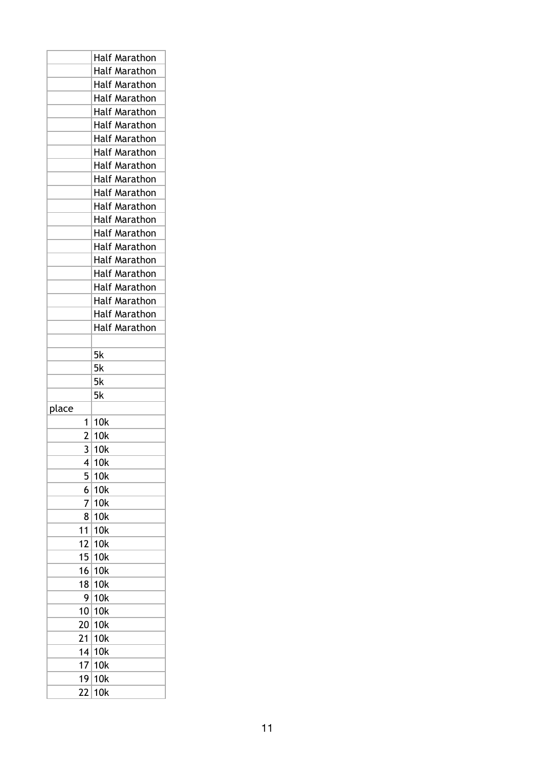|       | <b>Half Marathon</b> |
|-------|----------------------|
|       | Half Marathon        |
|       | <b>Half Marathon</b> |
|       | <b>Half Marathon</b> |
|       | <b>Half Marathon</b> |
|       | Half Marathon        |
|       | <b>Half Marathon</b> |
|       | <b>Half Marathon</b> |
|       | <b>Half Marathon</b> |
|       | <b>Half Marathon</b> |
|       | <b>Half Marathon</b> |
|       | Half Marathon        |
|       | <b>Half Marathon</b> |
|       | Half Marathon        |
|       | <b>Half Marathon</b> |
|       | <b>Half Marathon</b> |
|       | <b>Half Marathon</b> |
|       | Half Marathon        |
|       | <b>Half Marathon</b> |
|       | <b>Half Marathon</b> |
|       | <b>Half Marathon</b> |
|       |                      |
|       | 5k                   |
|       | 5k                   |
|       | 5k                   |
|       | 5k                   |
| place |                      |
| 1     | 10k                  |
|       | 2 10k                |
| 3     | 10k                  |
| 4     | 10k                  |
| 5     | 10k                  |
| 6     | 10k                  |
| 7     | 10k                  |
| 8     | 10k                  |
| 11    | 10k                  |
| 12    | 10k                  |
| 15    | 10k                  |
| 16    | 10k                  |
| 18    | 10k                  |
| 9     | 10k                  |
| 10    | 10k                  |
| 20    | 10k                  |
| 21    | 10k                  |
| 14    | 10k                  |
| 17    | 10k                  |
| 19    | 10k                  |
| 22    | 10k                  |
|       |                      |